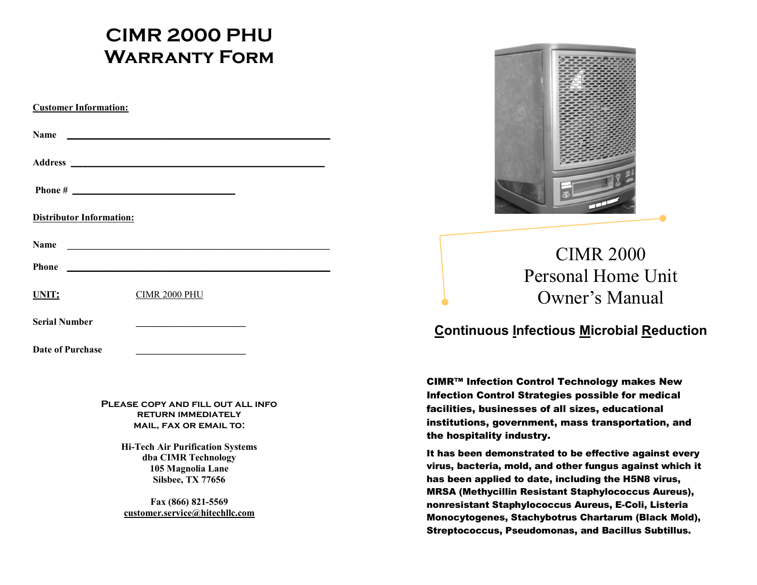# **CIMR 2000 PHU Warranty Form**

| <b>Customer Information:</b>    |                                                   |  |  |
|---------------------------------|---------------------------------------------------|--|--|
| Name                            |                                                   |  |  |
|                                 |                                                   |  |  |
|                                 |                                                   |  |  |
| <b>Distributor Information:</b> |                                                   |  |  |
| <b>Name</b>                     |                                                   |  |  |
| <b>Phone</b>                    | <u> 1989 - Johann John Stein, mars et al. (</u>   |  |  |
| UNIT:                           | CIMR 2000 PHU                                     |  |  |
| <b>Serial Number</b>            | <u> 1989 - Johann Barbara, martxa alemaniar a</u> |  |  |
| Date of Purchase                |                                                   |  |  |

**Please copy and fill out all info return immediately mail, fax or email to:**

> **Hi-Tech Air Purification Systems dba CIMR Technology 105 Magnolia Lane Silsbee, TX 77656**

**Fax (866) 821-5569 [customer.service@hitechllc.com](mailto:customer.service@hitechllc.com)**



CIMR 2000 Personal Home Unit Owner's Manual

# **Continuous Infectious Microbial Reduction**

CIMR™ Infection Control Technology makes New Infection Control Strategies possible for medical facilities, businesses of all sizes, educational institutions, government, mass transportation, and the hospitality industry.

It has been demonstrated to be effective against every virus, bacteria, mold, and other fungus against which it has been applied to date, including the H5N8 virus, MRSA (Methycillin Resistant Staphylococcus Aureus), nonresistant Staphylococcus Aureus, E-Coli, Listeria Monocytogenes, Stachybotrus Chartarum (Black Mold), Streptococcus, Pseudomonas, and Bacillus Subtillus.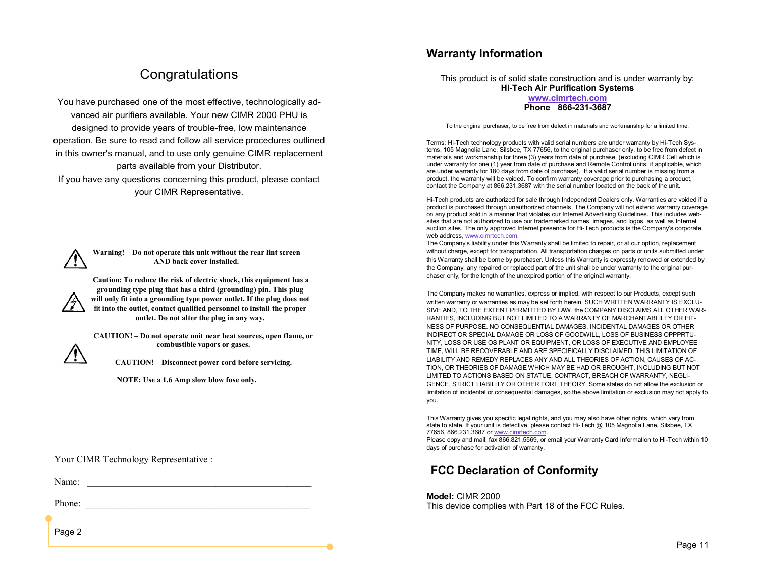# **Congratulations**

You have purchased one of the most effective, technologically advanced air purifiers available. Your new CIMR 2000 PHU is designed to provide years of trouble-free, low maintenance operation. Be sure to read and follow all service procedures outlined in this owner's manual, and to use only genuine CIMR replacement parts available from your Distributor.

If you have any questions concerning this product, please contact your CIMR Representative.



**Warning! – Do not operate this unit without the rear lint screen AND back cover installed.**

**Caution: To reduce the risk of electric shock, this equipment has a grounding type plug that has a third (grounding) pin. This plug will only fit into a grounding type power outlet. If the plug does not fit into the outlet, contact qualified personnel to install the proper outlet. Do not alter the plug in any way.**

**CAUTION! – Do not operate unit near heat sources, open flame, or combustible vapors or gases.**



**CAUTION! – Disconnect power cord before servicing.**

**NOTE: Use a 1.6 Amp slow blow fuse only.**

Your CIMR Technology Representative :

Name:

Phone:

Page 2

# **Warranty Information**

This product is of solid state construction and is under warranty by: **Hi-Tech Air Purification Systems**

#### **[www.cimrtech.com](http://www.cimrtech.com) Phone 866-231-3687**

To the original purchaser, to be free from defect in materials and workmanship for a limited time.

Terms: Hi-Tech technology products with valid serial numbers are under warranty by Hi-Tech Systems, 105 Magnolia Lane, Silsbee, TX 77656, to the original purchaser only, to be free from defect in materials and workmanship for three (3) years from date of purchase, (excluding CIMR Cell which is under warranty for one (1) year from date of purchase and Remote Control units, if applicable, which are under warranty for 180 days from date of purchase). If a valid serial number is missing from a product, the warranty will be voided. To confirm warranty coverage prior to purchasing a product, contact the Company at 866.231.3687 with the serial number located on the back of the unit.

Hi-Tech products are authorized for sale through Independent Dealers only. Warranties are voided if a product is purchased through unauthorized channels. The Company will not extend warranty coverage on any product sold in a manner that violates our Internet Advertising Guidelines. This includes websites that are not authorized to use our trademarked names, images, and logos, as well as Internet auction sites. The only approved Internet presence for Hi-Tech products is the Company's corporate web address, [www.cimrtech.com.](http://www.cimrtech.com)

The Company's liability under this Warranty shall be limited to repair, or at our option, replacement without charge, except for transportation. All transportation charges on parts or units submitted under this Warranty shall be borne by purchaser. Unless this Warranty is expressly renewed or extended by the Company, any repaired or replaced part of the unit shall be under warranty to the original purchaser only, for the length of the unexpired portion of the original warranty.

The Company makes no warranties, express or implied, with respect to our Products, except such written warranty or warranties as may be set forth herein. SUCH WRITTEN WARRANTY IS EXCLU-SIVE AND, TO THE EXTENT PERMITTED BY LAW, the COMPANY DISCLAIMS ALL OTHER WAR-RANTIES, INCLUDING BUT NOT LIMITED TO A WARRANTY OF MARCHANTABLILTY OR FIT-NESS OF PURPOSE. NO CONSEQUENTIAL DAMAGES, INCIDENTAL DAMAGES OR OTHER INDIRECT OR SPECIAL DAMAGE OR LOSS OF GOODWILL, LOSS OF BUSINESS OPPPRTU-NITY, LOSS OR USE OS PLANT OR EQUIPMENT, OR LOSS OF EXECUTIVE AND EMPLOYEE TIME, WILL BE RECOVERABLE AND ARE SPECIFICALLY DISCLAIMED. THIS LIMITATION OF LIABILITY AND REMEDY REPLACES ANY AND ALL THEORIES OF ACTION, CAUSES OF AC-TION, OR THEORIES OF DAMAGE WHICH MAY BE HAD OR BROUGHT, INCLUDING BUT NOT LIMITED TO ACTIONS BASED ON STATUE, CONTRACT, BREACH OF WARRANTY, NEGLI-GENCE, STRICT LIABILITY OR OTHER TORT THEORY. Some states do not allow the exclusion or limitation of incidental or consequential damages, so the above limitation or exclusion may not apply to you.

This Warranty gives you specific legal rights, and you may also have other rights, which vary from state to state. If your unit is defective, please contact Hi-Tech @ 105 Magnolia Lane, Silsbee, TX 77656, 866.231.3687 or [www.cimrtech.com.](http://www.cimrtech.com)

Please copy and mail, fax 866.821.5569, or email your Warranty Card Information to Hi-Tech within 10 days of purchase for activation of warranty.

# **FCC Declaration of Conformity**

#### **Model:** CIMR 2000

This device complies with Part 18 of the FCC Rules.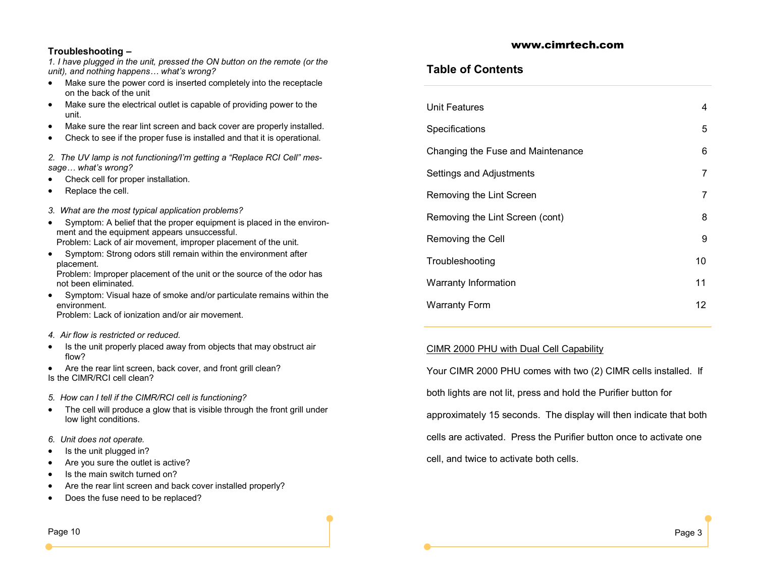#### **Troubleshooting –**

*1. I have plugged in the unit, pressed the ON button on the remote (or the unit), and nothing happens… what's wrong?*

- Make sure the power cord is inserted completely into the receptacle on the back of the unit
- Make sure the electrical outlet is capable of providing power to the unit.
- Make sure the rear lint screen and back cover are properly installed.
- Check to see if the proper fuse is installed and that it is operational.

*2. The UV lamp is not functioning/I'm getting a "Replace RCI Cell" message… what's wrong?*

- Check cell for proper installation.
- Replace the cell.
- *3. What are the most typical application problems?*
- Symptom: A belief that the proper equipment is placed in the environment and the equipment appears unsuccessful. Problem: Lack of air movement, improper placement of the unit.
- Symptom: Strong odors still remain within the environment after placement.

Problem: Improper placement of the unit or the source of the odor has not been eliminated.

 Symptom: Visual haze of smoke and/or particulate remains within the environment.

Problem: Lack of ionization and/or air movement*.*

#### *4. Air flow is restricted or reduced.*

- Is the unit properly placed away from objects that may obstruct air flow?
- Are the rear lint screen, back cover, and front grill clean? Is the CIMR/RCI cell clean?
- *5. How can I tell if the CIMR/RCI cell is functioning?*
- The cell will produce a glow that is visible through the front grill under low light conditions.
- *6. Unit does not operate.*
- Is the unit plugged in?
- Are you sure the outlet is active?
- Is the main switch turned on?
- Are the rear lint screen and back cover installed properly?
- Does the fuse need to be replaced?

## **Table of Contents**

| Unit Features                     | 4  |
|-----------------------------------|----|
| Specifications                    | 5  |
| Changing the Fuse and Maintenance | 6  |
| Settings and Adjustments          | 7  |
| Removing the Lint Screen          | 7  |
| Removing the Lint Screen (cont)   | 8  |
| Removing the Cell                 | 9  |
| Troubleshooting                   | 10 |
| Warranty Information              | 11 |
| <b>Warranty Form</b>              | 12 |

www.cimrtech.com

### CIMR 2000 PHU with Dual Cell Capability

Your CIMR 2000 PHU comes with two (2) CIMR cells installed. If both lights are not lit, press and hold the Purifier button for approximately 15 seconds. The display will then indicate that both cells are activated. Press the Purifier button once to activate one cell, and twice to activate both cells.

Page 10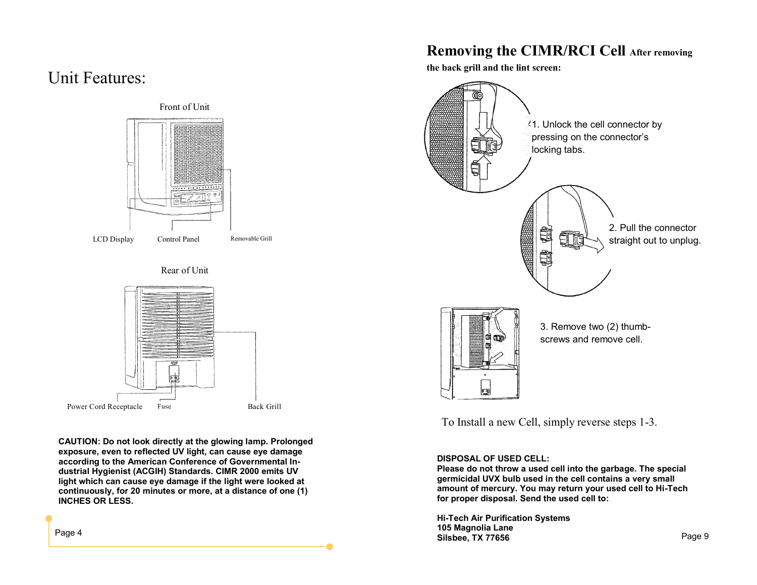# Unit Features:



**CAUTION: Do not look directly at the glowing lamp. Prolonged exposure, even to reflected UV light, can cause eye damage according to the American Conference of Governmental Industrial Hygienist (ACGIH) Standards. CIMR 2000 emits UV light which can cause eye damage if the light were looked at continuously, for 20 minutes or more, at a distance of one (1) INCHES OR LESS.**

# **Removing the CIMR/RCI Cell After removing**

**the back grill and the lint screen:** 



To Install a new Cell, simply reverse steps 1-3.

#### **DISPOSAL OF USED CELL:**

**Please do not throw a used cell into the garbage. The special germicidal UVX bulb used in the cell contains a very small amount of mercury. You may return your used cell to Hi-Tech for proper disposal. Send the used cell to:**

**Hi-Tech Air Purification Systems 105 Magnolia Lane Silsbee, TX 77656** Page 9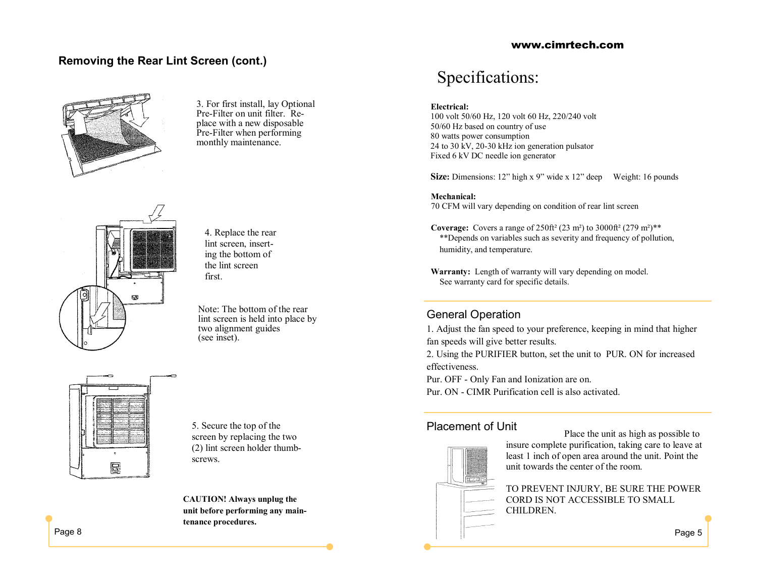# **Removing the Rear Lint Screen (cont.)**



3. For first install, lay Optional Pre-Filter on unit filter. Replace with a new disposable Pre-Filter when performing monthly maintenance.



4. Replace the rear lint screen, inserting the bottom of the lint screen first.

Note: The bottom of the rear lint screen is held into place by two alignment guides (see inset).



5. Secure the top of the screen by replacing the two (2) lint screen holder thumbscrews.

**CAUTION! Always unplug the unit before performing any maintenance procedures.**

#### www.cimrtech.com

# Specifications:

#### **Electrical:**

100 volt 50/60 Hz, 120 volt 60 Hz, 220/240 volt 50/60 Hz based on country of use 80 watts power consumption 24 to 30 kV, 20-30 kHz ion generation pulsator Fixed 6 kV DC needle ion generator

**Size:** Dimensions: 12" high x 9" wide x 12" deep Weight: 16 pounds

**Mechanical:** 70 CFM will vary depending on condition of rear lint screen

**Coverage:** Covers a range of  $250 \text{ft}^2 (23 \text{ m}^2)$  to  $3000 \text{ft}^2 (279 \text{ m}^2)^{**}$ \*\*Depends on variables such as severity and frequency of pollution, humidity, and temperature.

 **Warranty:** Length of warranty will vary depending on model. See warranty card for specific details.

### General Operation

1. Adjust the fan speed to your preference, keeping in mind that higher fan speeds will give better results.

2. Using the PURIFIER button, set the unit to PUR. ON for increased effectiveness.

Pur. OFF - Only Fan and Ionization are on.

Pur. ON - CIMR Purification cell is also activated.

## Placement of Unit



Place the unit as high as possible to insure complete purification, taking care to leave at least 1 inch of open area around the unit. Point the unit towards the center of the room.

TO PREVENT INJURY, BE SURE THE POWER CORD IS NOT ACCESSIBLE TO SMALL CHILDREN.

Page 5